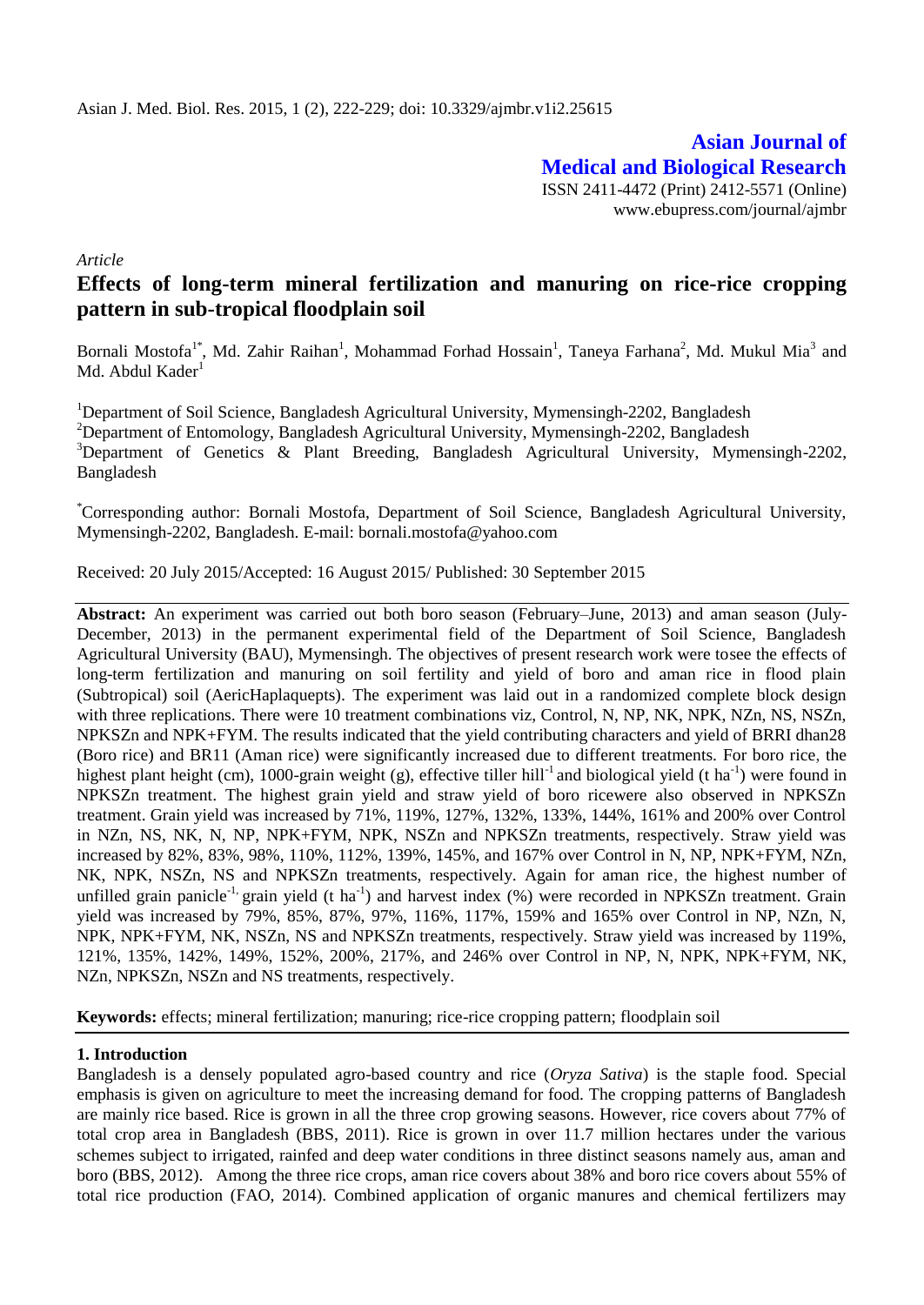**Asian Journal of Medical and Biological Research** ISSN 2411-4472 (Print) 2412-5571 (Online) www.ebupress.com/journal/ajmbr

*Article*

# **Effects of long-term mineral fertilization and manuring on rice-rice cropping pattern in sub-tropical floodplain soil**

Bornali Mostofa<sup>1\*</sup>, Md. Zahir Raihan<sup>1</sup>, Mohammad Forhad Hossain<sup>1</sup>, Taneya Farhana<sup>2</sup>, Md. Mukul Mia<sup>3</sup> and Md. Abdul Kader<sup>1</sup>

<sup>1</sup>Department of Soil Science, Bangladesh Agricultural University, Mymensingh-2202, Bangladesh <sup>2</sup>Department of Entomology, Bangladesh Agricultural University, Mymensingh-2202, Bangladesh <sup>3</sup>Department of Genetics & Plant Breeding, Bangladesh Agricultural University, Mymensingh-2202, Bangladesh

\*Corresponding author: Bornali Mostofa, Department of Soil Science, Bangladesh Agricultural University, Mymensingh-2202, Bangladesh. E-mail: bornali.mostofa@yahoo.com

Received: 20 July 2015/Accepted: 16 August 2015/ Published: 30 September 2015

**Abstract:** An experiment was carried out both boro season (February–June, 2013) and aman season (July-December, 2013) in the permanent experimental field of the Department of Soil Science, Bangladesh Agricultural University (BAU), Mymensingh. The objectives of present research work were tosee the effects of long-term fertilization and manuring on soil fertility and yield of boro and aman rice in flood plain (Subtropical) soil (AericHaplaquepts). The experiment was laid out in a randomized complete block design with three replications. There were 10 treatment combinations viz, Control, N, NP, NK, NPK, NZn, NS, NSZn, NPKSZn and NPK+FYM. The results indicated that the yield contributing characters and yield of BRRI dhan28 (Boro rice) and BR11 (Aman rice) were significantly increased due to different treatments. For boro rice, the highest plant height (cm), 1000-grain weight (g), effective tiller hill<sup>-1</sup> and biological yield (t ha<sup>-1</sup>) were found in NPKSZn treatment. The highest grain yield and straw yield of boro ricewere also observed in NPKSZn treatment. Grain yield was increased by 71%, 119%, 127%, 132%, 133%, 144%, 161% and 200% over Control in NZn, NS, NK, N, NP, NPK+FYM, NPK, NSZn and NPKSZn treatments, respectively. Straw yield was increased by 82%, 83%, 98%, 110%, 112%, 139%, 145%, and 167% over Control in N, NP, NPK+FYM, NZn, NK, NPK, NSZn, NS and NPKSZn treatments, respectively. Again for aman rice, the highest number of unfilled grain panicle<sup>-1,</sup> grain yield (t ha<sup>-1</sup>) and harvest index (%) were recorded in NPKSZn treatment. Grain yield was increased by 79%, 85%, 87%, 97%, 116%, 117%, 159% and 165% over Control in NP, NZn, N, NPK, NPK+FYM, NK, NSZn, NS and NPKSZn treatments, respectively. Straw yield was increased by 119%, 121%, 135%, 142%, 149%, 152%, 200%, 217%, and 246% over Control in NP, N, NPK, NPK+FYM, NK, NZn, NPKSZn, NSZn and NS treatments, respectively.

**Keywords:** effects; mineral fertilization; manuring; rice-rice cropping pattern; floodplain soil

#### **1. Introduction**

Bangladesh is a densely populated agro-based country and rice (*Oryza Sativa*) is the staple food. Special emphasis is given on agriculture to meet the increasing demand for food. The cropping patterns of Bangladesh are mainly rice based. Rice is grown in all the three crop growing seasons. However, rice covers about 77% of total crop area in Bangladesh (BBS, 2011). Rice is grown in over 11.7 million hectares under the various schemes subject to irrigated, rainfed and deep water conditions in three distinct seasons namely aus, aman and boro (BBS, 2012). Among the three rice crops, aman rice covers about 38% and boro rice covers about 55% of total rice production (FAO, 2014). Combined application of organic manures and chemical fertilizers may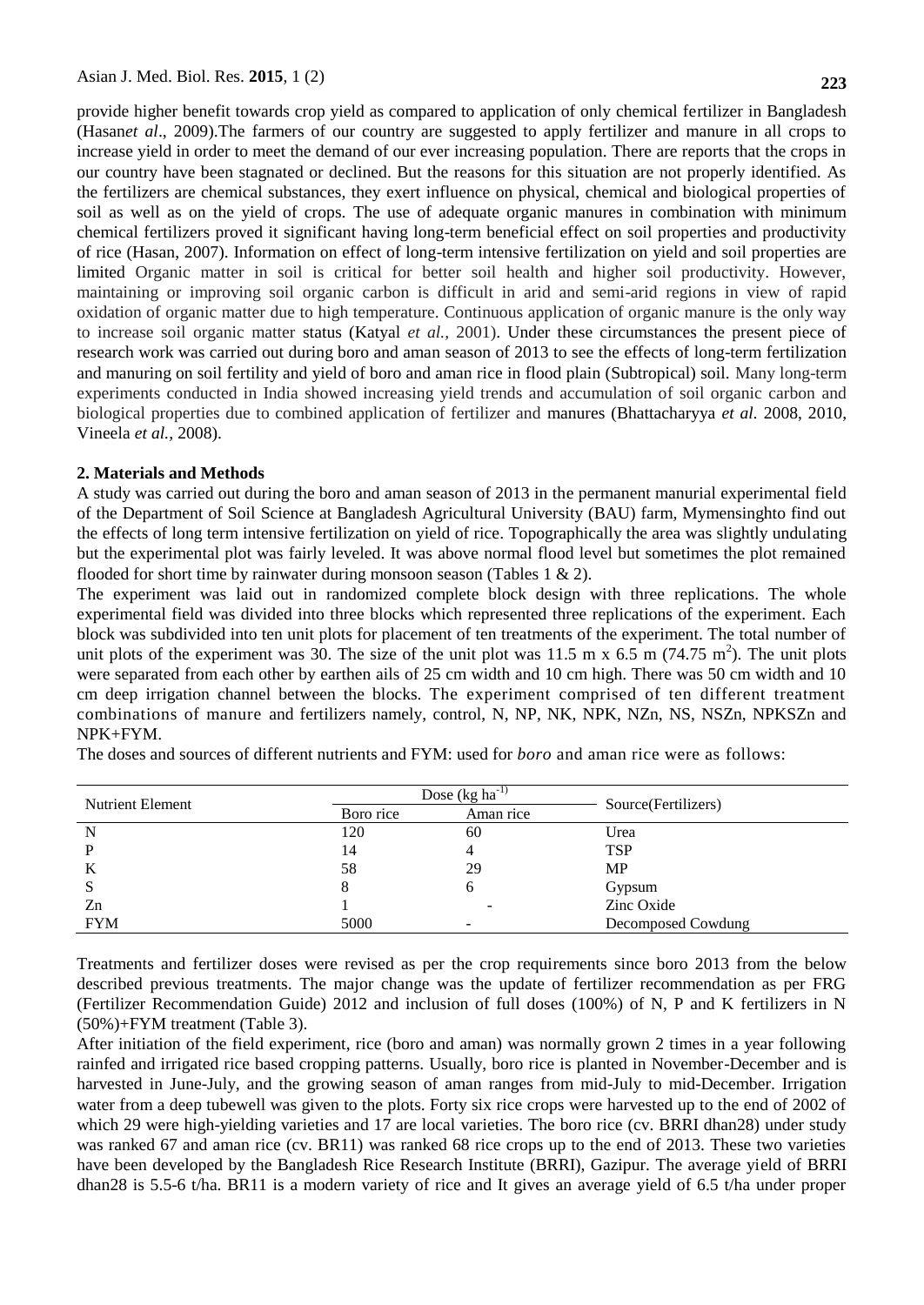provide higher benefit towards crop yield as compared to application of only chemical fertilizer in Bangladesh (Hasan*et al*., 2009).The farmers of our country are suggested to apply fertilizer and manure in all crops to increase yield in order to meet the demand of our ever increasing population. There are reports that the crops in our country have been stagnated or declined. But the reasons for this situation are not properly identified. As the fertilizers are chemical substances, they exert influence on physical, chemical and biological properties of soil as well as on the yield of crops. The use of adequate organic manures in combination with minimum chemical fertilizers proved it significant having long-term beneficial effect on soil properties and productivity of rice (Hasan, 2007). Information on effect of long-term intensive fertilization on yield and soil properties are limited Organic matter in soil is critical for better soil health and higher soil productivity. However, maintaining or improving soil organic carbon is difficult in arid and semi-arid regions in view of rapid oxidation of organic matter due to high temperature. Continuous application of organic manure is the only way to increase soil organic matter status (Katyal *et al.,* 2001). Under these circumstances the present piece of research work was carried out during boro and aman season of 2013 to see the effects of long-term fertilization and manuring on soil fertility and yield of boro and aman rice in flood plain (Subtropical) soil. Many long-term experiments conducted in India showed increasing yield trends and accumulation of soil organic carbon and biological properties due to combined application of fertilizer and manures (Bhattacharyya *et al.* 2008, 2010, Vineela *et al.,* 2008).

#### **2. Materials and Methods**

A study was carried out during the boro and aman season of 2013 in the permanent manurial experimental field of the Department of Soil Science at Bangladesh Agricultural University (BAU) farm, Mymensinghto find out the effects of long term intensive fertilization on yield of rice. Topographically the area was slightly undulating but the experimental plot was fairly leveled. It was above normal flood level but sometimes the plot remained flooded for short time by rainwater during monsoon season (Tables 1 & 2).

The experiment was laid out in randomized complete block design with three replications. The whole experimental field was divided into three blocks which represented three replications of the experiment. Each block was subdivided into ten unit plots for placement of ten treatments of the experiment. The total number of unit plots of the experiment was 30. The size of the unit plot was 11.5 m x  $6.5 \text{ m}$  (74.75 m<sup>2</sup>). The unit plots were separated from each other by earthen ails of 25 cm width and 10 cm high. There was 50 cm width and 10 cm deep irrigation channel between the blocks. The experiment comprised of ten different treatment combinations of manure and fertilizers namely, control, N, NP, NK, NPK, NZn, NS, NSZn, NPKSZn and NPK+FYM.

| <b>Nutrient Element</b> |           | Dose $(kg ha^{-1})$ | Source(Fertilizers) |  |
|-------------------------|-----------|---------------------|---------------------|--|
|                         | Boro rice | Aman rice           |                     |  |
| N                       | 120       | 60                  | Urea                |  |
| D                       | 14        |                     | <b>TSP</b>          |  |
| A                       | 58        | 29                  | <b>MP</b>           |  |
| S                       |           | n                   | Gypsum              |  |
| Zn                      |           |                     | Zinc Oxide          |  |
| <b>FYM</b>              | 5000      |                     | Decomposed Cowdung  |  |

The doses and sources of different nutrients and FYM: used for *boro* and aman rice were as follows:

Treatments and fertilizer doses were revised as per the crop requirements since boro 2013 from the below described previous treatments. The major change was the update of fertilizer recommendation as per FRG (Fertilizer Recommendation Guide) 2012 and inclusion of full doses (100%) of N, P and K fertilizers in N (50%)+FYM treatment (Table 3).

After initiation of the field experiment, rice (boro and aman) was normally grown 2 times in a year following rainfed and irrigated rice based cropping patterns. Usually, boro rice is planted in November-December and is harvested in June-July, and the growing season of aman ranges from mid-July to mid-December. Irrigation water from a deep tubewell was given to the plots. Forty six rice crops were harvested up to the end of 2002 of which 29 were high-yielding varieties and 17 are local varieties. The boro rice (cv. BRRI dhan28) under study was ranked 67 and aman rice (cv. BR11) was ranked 68 rice crops up to the end of 2013. These two varieties have been developed by the Bangladesh Rice Research Institute (BRRI), Gazipur. The average yield of BRRI dhan28 is 5.5-6 t/ha. BR11 is a modern variety of rice and It gives an average yield of 6.5 t/ha under proper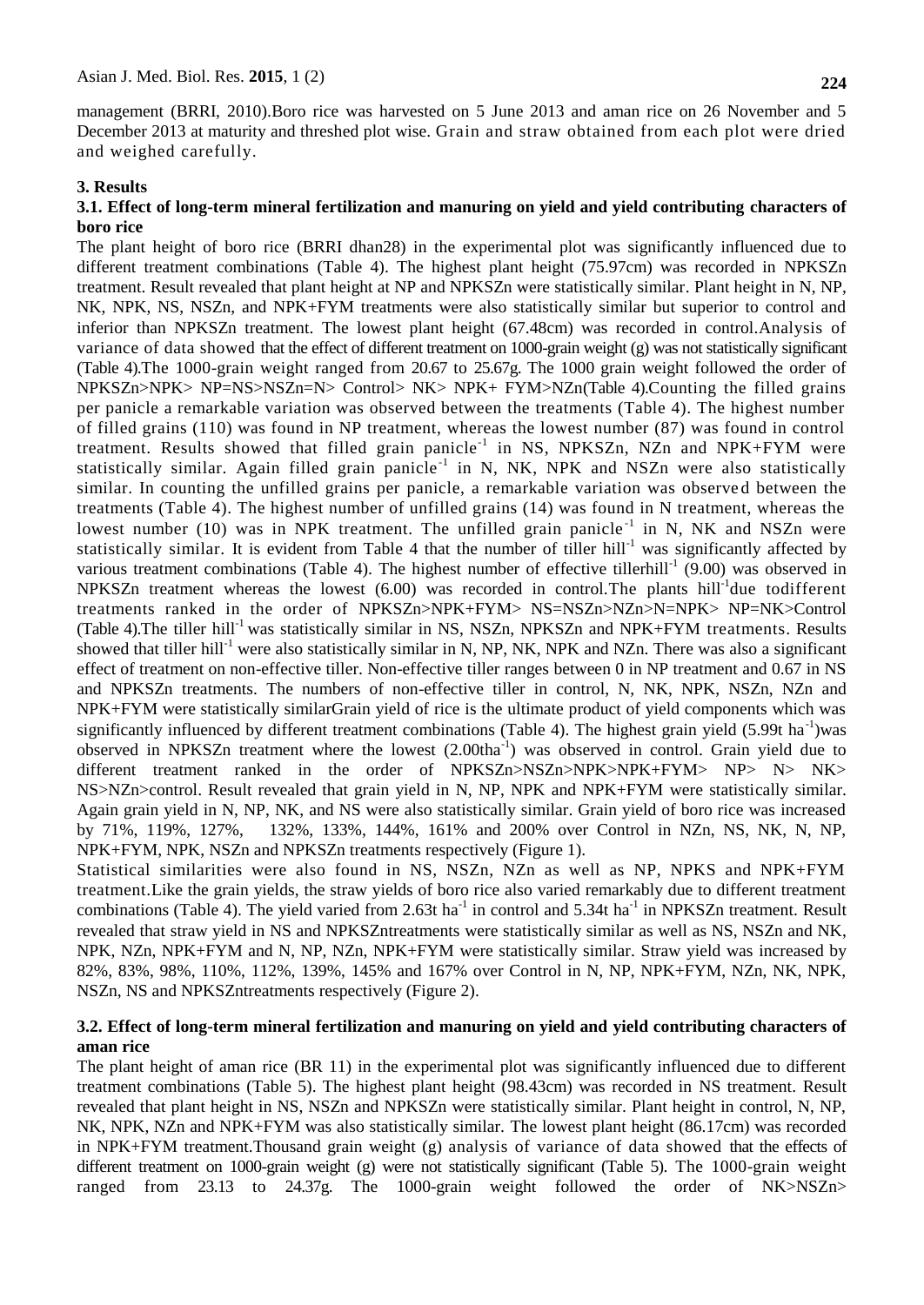management (BRRI, 2010).Boro rice was harvested on 5 June 2013 and aman rice on 26 November and 5 December 2013 at maturity and threshed plot wise. Grain and straw obtained from each plot were dried and weighed carefully.

### **3. Results**

#### **3.1. Effect of long-term mineral fertilization and manuring on yield and yield contributing characters of boro rice**

The plant height of boro rice (BRRI dhan28) in the experimental plot was significantly influenced due to different treatment combinations (Table 4). The highest plant height (75.97cm) was recorded in NPKSZn treatment. Result revealed that plant height at NP and NPKSZn were statistically similar. Plant height in N, NP, NK, NPK, NS, NSZn, and NPK+FYM treatments were also statistically similar but superior to control and inferior than NPKSZn treatment. The lowest plant height (67.48cm) was recorded in control.Analysis of variance of data showed that the effect of different treatment on 1000-grain weight (g) was not statistically significant (Table 4).The 1000-grain weight ranged from 20.67 to 25.67g. The 1000 grain weight followed the order of NPKSZn>NPK> NP=NS>NSZn=N> Control> NK> NPK+ FYM>NZn(Table 4).Counting the filled grains per panicle a remarkable variation was observed between the treatments (Table 4). The highest number of filled grains (110) was found in NP treatment, whereas the lowest number (87) was found in control treatment. Results showed that filled grain panicle<sup>-1</sup> in NS, NPKSZn, NZn and NPK+FYM were statistically similar. Again filled grain panicle<sup>-1</sup> in N, NK, NPK and NSZn were also statistically similar. In counting the unfilled grains per panicle, a remarkable variation was observed between the treatments (Table 4). The highest number of unfilled grains (14) was found in N treatment, whereas the lowest number (10) was in NPK treatment. The unfilled grain panicle<sup>-1</sup> in N, NK and NSZn were statistically similar. It is evident from Table 4 that the number of tiller hill<sup>-1</sup> was significantly affected by various treatment combinations (Table 4). The highest number of effective tillerhill<sup>-1</sup> (9.00) was observed in NPKSZn treatment whereas the lowest  $(6.00)$  was recorded in control. The plants hill<sup>-1</sup>due todifferent treatments ranked in the order of NPKSZn>NPK+FYM> NS=NSZn>NZn>N=NPK> NP=NK>Control (Table 4). The tiller hill<sup>-1</sup> was statistically similar in NS, NSZn, NPKSZn and NPK+FYM treatments. Results showed that tiller hill<sup>-1</sup> were also statistically similar in N, NP, NK, NPK and NZn. There was also a significant effect of treatment on non-effective tiller. Non-effective tiller ranges between 0 in NP treatment and 0.67 in NS and NPKSZn treatments. The numbers of non-effective tiller in control, N, NK, NPK, NSZn, NZn and NPK+FYM were statistically similarGrain yield of rice is the ultimate product of yield components which was significantly influenced by different treatment combinations (Table 4). The highest grain yield  $(5.99t \text{ ha}^{-1})$ was observed in NPKSZn treatment where the lowest (2.00tha<sup>-1</sup>) was observed in control. Grain yield due to different treatment ranked in the order of NPKSZn>NSZn>NPK>NPK+FYM> NP> N> NK> NS>NZn>control. Result revealed that grain yield in N, NP, NPK and NPK+FYM were statistically similar. Again grain yield in N, NP, NK, and NS were also statistically similar. Grain yield of boro rice was increased by 71%, 119%, 127%, 132%, 133%, 144%, 161% and 200% over Control in NZn, NS, NK, N, NP, NPK+FYM, NPK, NSZn and NPKSZn treatments respectively (Figure 1).

Statistical similarities were also found in NS, NSZn, NZn as well as NP, NPKS and NPK+FYM treatment.Like the grain yields, the straw yields of boro rice also varied remarkably due to different treatment combinations (Table 4). The yield varied from 2.63t ha<sup>-1</sup> in control and 5.34t ha<sup>-1</sup> in NPKSZn treatment. Result revealed that straw yield in NS and NPKSZntreatments were statistically similar as well as NS, NSZn and NK, NPK, NZn, NPK+FYM and N, NP, NZn, NPK+FYM were statistically similar. Straw yield was increased by 82%, 83%, 98%, 110%, 112%, 139%, 145% and 167% over Control in N, NP, NPK+FYM, NZn, NK, NPK, NSZn, NS and NPKSZntreatments respectively (Figure 2).

#### **3.2. Effect of long-term mineral fertilization and manuring on yield and yield contributing characters of aman rice**

The plant height of aman rice (BR 11) in the experimental plot was significantly influenced due to different treatment combinations (Table 5). The highest plant height (98.43cm) was recorded in NS treatment. Result revealed that plant height in NS, NSZn and NPKSZn were statistically similar. Plant height in control, N, NP, NK, NPK, NZn and NPK+FYM was also statistically similar. The lowest plant height (86.17cm) was recorded in NPK+FYM treatment.Thousand grain weight (g) analysis of variance of data showed that the effects of different treatment on 1000-grain weight (g) were not statistically significant (Table 5). The 1000-grain weight ranged from 23.13 to 24.37g. The 1000-grain weight followed the order of NK>NSZn>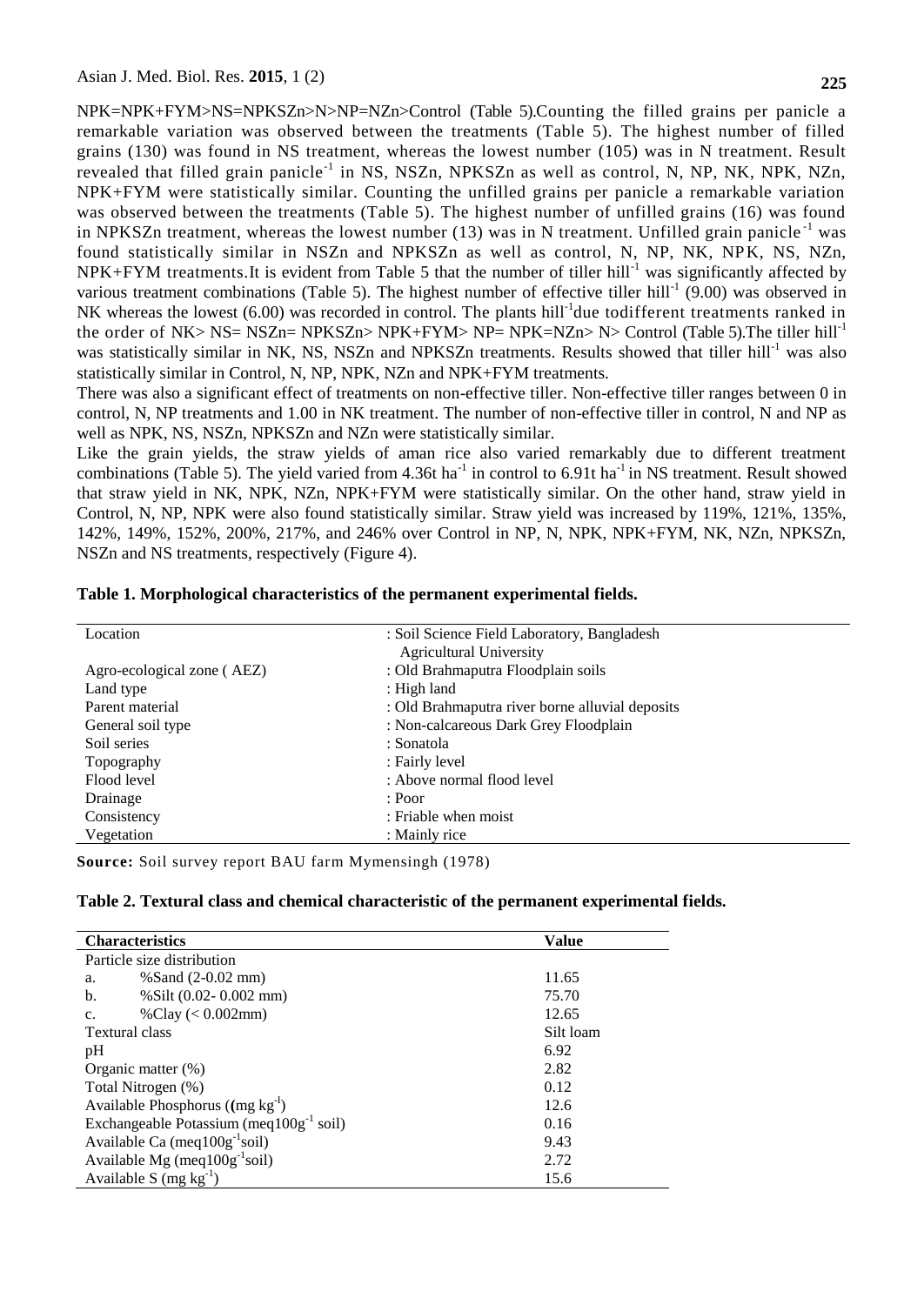NPK=NPK+FYM>NS=NPKSZn>N>NP=NZn>Control (Table 5).Counting the filled grains per panicle a remarkable variation was observed between the treatments (Table 5). The highest number of filled grains (130) was found in NS treatment, whereas the lowest number (105) was in N treatment. Result revealed that filled grain panicle<sup>-1</sup> in NS, NSZn, NPKSZn as well as control, N, NP, NK, NPK, NZn, NPK+FYM were statistically similar. Counting the unfilled grains per panicle a remarkable variation was observed between the treatments (Table 5). The highest number of unfilled grains (16) was found in NPKSZn treatment, whereas the lowest number  $(13)$  was in N treatment. Unfilled grain panicle<sup>-1</sup> was found statistically similar in NSZn and NPKSZn as well as control, N, NP, NK, NPK, NS, NZn,  $NPK+FYM$  treatments. It is evident from Table 5 that the number of tiller hill<sup>-1</sup> was significantly affected by various treatment combinations (Table 5). The highest number of effective tiller hill<sup>-1</sup> (9.00) was observed in NK whereas the lowest  $(6.00)$  was recorded in control. The plants hill<sup>-1</sup>due todifferent treatments ranked in the order of NK> NS= NSZn= NPKSZn> NPK+FYM> NP= NPK=NZn> N> Control (Table 5). The tiller hill<sup>-1</sup> was statistically similar in NK, NS, NSZn and NPKSZn treatments. Results showed that tiller hill<sup>-1</sup> was also statistically similar in Control, N, NP, NPK, NZn and NPK+FYM treatments.

There was also a significant effect of treatments on non-effective tiller. Non-effective tiller ranges between 0 in control, N, NP treatments and 1.00 in NK treatment. The number of non-effective tiller in control, N and NP as well as NPK, NS, NSZn, NPKSZn and NZn were statistically similar.

Like the grain yields, the straw yields of aman rice also varied remarkably due to different treatment combinations (Table 5). The yield varied from 4.36t ha<sup>-1</sup> in control to 6.91t ha<sup>-1</sup> in NS treatment. Result showed that straw yield in NK, NPK, NZn, NPK+FYM were statistically similar. On the other hand, straw yield in Control, N, NP, NPK were also found statistically similar. Straw yield was increased by 119%, 121%, 135%, 142%, 149%, 152%, 200%, 217%, and 246% over Control in NP, N, NPK, NPK+FYM, NK, NZn, NPKSZn, NSZn and NS treatments, respectively (Figure 4).

| Table 1. Morphological characteristics of the permanent experimental fields. |  |  |
|------------------------------------------------------------------------------|--|--|
|------------------------------------------------------------------------------|--|--|

| Location                   | : Soil Science Field Laboratory, Bangladesh     |
|----------------------------|-------------------------------------------------|
|                            | <b>Agricultural University</b>                  |
| Agro-ecological zone (AEZ) | : Old Brahmaputra Floodplain soils              |
| Land type                  | : High land                                     |
| Parent material            | : Old Brahmaputra river borne alluvial deposits |
| General soil type          | : Non-calcareous Dark Grey Floodplain           |
| Soil series                | : Sonatola                                      |
| Topography                 | : Fairly level                                  |
| Flood level                | : Above normal flood level                      |
| Drainage                   | : Poor                                          |
| Consistency                | : Friable when moist                            |
| Vegetation                 | : Mainly rice                                   |
|                            |                                                 |

**Source:** Soil survey report BAU farm Mymensingh (1978)

| Table 2. Textural class and chemical characteristic of the permanent experimental fields. |  |  |  |  |
|-------------------------------------------------------------------------------------------|--|--|--|--|
|-------------------------------------------------------------------------------------------|--|--|--|--|

| <b>Characteristics</b>                        | Value     |
|-----------------------------------------------|-----------|
| Particle size distribution                    |           |
| %Sand $(2-0.02$ mm $)$<br>a.                  | 11.65     |
| % Silt $(0.02 - 0.002$ mm)<br>b.              | 75.70     |
| %Clay $(< 0.002$ mm)<br>C <sub>1</sub>        | 12.65     |
| Textural class                                | Silt loam |
| pH                                            | 6.92      |
| Organic matter (%)                            | 2.82      |
| Total Nitrogen (%)                            | 0.12      |
| Available Phosphorus $((mg kg-1)$             | 12.6      |
| Exchangeable Potassium (meq $100g^{-1}$ soil) | 0.16      |
| Available Ca (meq $100g^{-1}$ soil)           | 9.43      |
| Available Mg (meq $100g^{-1}$ soil)           | 2.72      |
| Available S (mg $kg^{-1}$ )                   | 15.6      |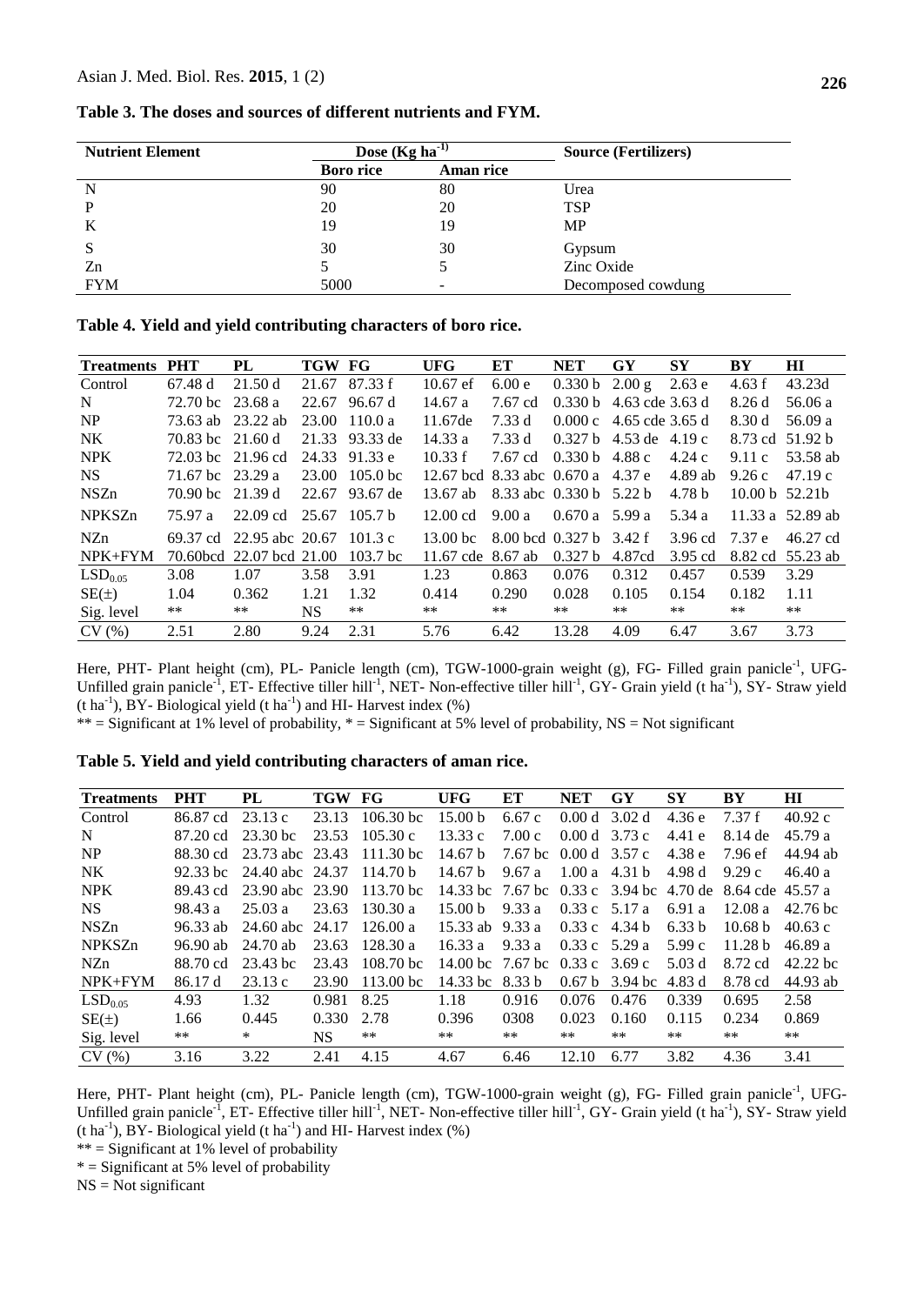| Table 3. The doses and sources of different nutrients and FYM. |  |  |
|----------------------------------------------------------------|--|--|
|----------------------------------------------------------------|--|--|

| <b>Nutrient Element</b> | Dose $(Kg ha-1)$ |                  | <b>Source (Fertilizers)</b> |
|-------------------------|------------------|------------------|-----------------------------|
|                         | <b>Boro rice</b> | <b>Aman rice</b> |                             |
| N                       | 90               | 80               | Urea                        |
|                         | 20               | 20               | <b>TSP</b>                  |
| K                       | 19               | 19               | <b>MP</b>                   |
| S                       | 30               | 30               | Gypsum                      |
| Zn                      |                  |                  | Zinc Oxide                  |
| <b>FYM</b>              | 5000             |                  | Decomposed cowdung          |

|  |  |  | Table 4. Yield and yield contributing characters of boro rice. |  |  |  |
|--|--|--|----------------------------------------------------------------|--|--|--|
|--|--|--|----------------------------------------------------------------|--|--|--|

| <b>Treatments</b>   | <b>PHT</b>         | PL                               | TGW FG    |                 | <b>UFG</b>                        | ET                      | <b>NET</b>         | $\mathbf{G}\mathbf{Y}$    | <b>SY</b>         | BY               | $\mathbf{H}$     |
|---------------------|--------------------|----------------------------------|-----------|-----------------|-----------------------------------|-------------------------|--------------------|---------------------------|-------------------|------------------|------------------|
| Control             | 67.48 d            | 21.50d                           | 21.67     | 87.33 f         | $10.67$ ef                        | 6.00e                   | 0.330 b            | 2.00 g                    | 2.63e             | 4.63 f           | 43.23d           |
| N                   | 72.70 bc 23.68 a   |                                  | 22.67     | 96.67 d         | 14.67a                            | 7.67 cd                 |                    | $0.330 b$ 4.63 cde 3.63 d |                   | 8.26d            | 56.06a           |
| NP                  | 73.63 ab 23.22 ab  |                                  |           | $23.00$ 110.0 a | 11.67de                           | 7.33 d                  |                    | $0.000c$ 4.65 cde 3.65 d  |                   | 8.30 d           | 56.09 a          |
| NK.                 | 70.83 bc $21.60 d$ |                                  |           | 21.33 93.33 de  | 14.33 a                           | 7.33 d                  | 0.327 <sub>b</sub> | 4.53 de 4.19 c            |                   |                  | 8.73 cd 51.92 b  |
| <b>NPK</b>          | 72.03 bc 21.96 cd  |                                  |           | 24.33 91.33 e   | 10.33 f                           | 7.67 cd                 | $0.330 b$ 4.88 c   |                           | 4.24 c            | 9.11c            | 53.58 ab         |
| <b>NS</b>           | 71.67 bc 23.29 a   |                                  | 23.00     | $105.0$ bc      | 12.67 bcd 8.33 abc 0.670 a 4.37 e |                         |                    |                           | $4.89$ ab         | 9.26c            | 47.19c           |
| <b>NSZn</b>         | 70.90 bc $21.39 d$ |                                  |           | 22.67 93.67 de  | $13.67$ ab                        | 8.33 abc 0.330 b 5.22 b |                    |                           | 4.78 <sub>b</sub> | 10.00 b $52.21b$ |                  |
| <b>NPKSZn</b>       | 75.97 a            | 22.09 cd                         |           | $25.67$ 105.7 b | $12.00 \text{ cd}$                | 9.00a                   | $0.670 a$ 5.99 a   |                           | 5.34a             |                  | 11.33 a 52.89 ab |
| NZ <sub>n</sub>     |                    | 69.37 cd 22.95 abc 20.67 101.3 c |           |                 | 13.00 <sub>bc</sub>               | 8.00 hcd 0.327 b 3.42 f |                    |                           | 3.96 cd           | 7.37 e           | 46.27 cd         |
| $NPK + FYM$         |                    | 70.60bcd 22.07 bcd 21.00         |           | $103.7$ bc      | 11.67 cde 8.67 ab                 |                         | 0.327 h            | 4.87cd                    | $3.95$ cd         |                  | 8.82 cd 55.23 ab |
| LSD <sub>0.05</sub> | 3.08               | 1.07                             | 3.58      | 3.91            | 1.23                              | 0.863                   | 0.076              | 0.312                     | 0.457             | 0.539            | 3.29             |
| $SE(\pm)$           | 1.04               | 0.362                            | 1.21      | 1.32            | 0.414                             | 0.290                   | 0.028              | 0.105                     | 0.154             | 0.182            | 1.11             |
| Sig. level          | **                 | **                               | <b>NS</b> | **              | **                                | **                      | **                 | **                        | $***$             | $***$            | **               |
| CV(%)               | 2.51               | 2.80                             | 9.24      | 2.31            | 5.76                              | 6.42                    | 13.28              | 4.09                      | 6.47              | 3.67             | 3.73             |

Here, PHT- Plant height (cm), PL- Panicle length (cm), TGW-1000-grain weight (g), FG- Filled grain panicle<sup>-1</sup>, UFG-Unfilled grain panicle<sup>-1</sup>, ET- Effective tiller hill<sup>-1</sup>, NET- Non-effective tiller hill<sup>-1</sup>, GY- Grain yield (t ha<sup>-1</sup>), SY- Straw yield  $(t \, ha^{-1})$ , BY-Biological yield  $(t \, ha^{-1})$  and HI-Harvest index  $(\%)$ 

\*\* = Significant at 1% level of probability, \* = Significant at 5% level of probability, NS = Not significant

**Table 5. Yield and yield contributing characters of aman rice.**

| <b>Treatments</b>   | <b>PHT</b> | PL              | TGW FG    |                     | <b>UFG</b>                              | ЕT                      | <b>NET</b>        | GY      | SY                | BY                 | H I        |
|---------------------|------------|-----------------|-----------|---------------------|-----------------------------------------|-------------------------|-------------------|---------|-------------------|--------------------|------------|
| Control             | 86.87 cd   | 23.13c          | 23.13     | $106.30$ bc         | 15.00 <sub>b</sub>                      | 6.67c                   | 0.00d             | 3.02d   | 4.36e             | 7.37 f             | 40.92c     |
| N                   | 87.20 cd   | $23.30$ bc      | 23.53     | 105.30c             | 13.33c                                  | 7.00c                   | 0.00d             | 3.73 c  | 4.41e             | 8.14 de            | 45.79 a    |
| NP                  | 88.30 cd   | 23.73 abc 23.43 |           | $111.30$ bc         | 14.67 <sub>b</sub>                      | 7.67 bc $0.00 d$ 3.57 c |                   |         | 4.38 e            | 7.96 ef            | 44.94 ab   |
| <b>NK</b>           | $92.33$ bc | 24.40 abc 24.37 |           | 114.70 <sub>b</sub> | 14.67 <sub>b</sub>                      | 9.67a                   | $1.00a$ 4.31 b    |         | 4.98 d            | 9.29c              | 46.40a     |
| <b>NPK</b>          | 89.43 cd   | 23.90 abc 23.90 |           | 113.70 bc           | 14.33 bc 7.67 bc 0.33 c 3.94 bc 4.70 de |                         |                   |         |                   | 8.64 cde 45.57 a   |            |
| <b>NS</b>           | 98.43 a    | 25.03a          | 23.63     | 130.30 a            | 15.00 <sub>b</sub>                      | 9.33 a                  | $0.33c$ 5.17 a    |         | 6.91 a            | 12.08a             | $42.76$ bc |
| <b>NSZn</b>         | $96.33$ ab | 24.60 abc       | 24.17     | 126.00 a            | 15.33 ab $9.33$ a                       |                         | $0.33c$ 4.34 b    |         | 6.33 <sub>b</sub> | 10.68 <sub>b</sub> | 40.63c     |
| <b>NPKSZn</b>       | 96.90 ab   | $24.70$ ab      | 23.63     | 128.30a             | 16.33a                                  | 9.33a                   | $0.33c$ 5.29 a    |         | 5.99c             | 11.28 h            | 46.89 a    |
| NZn                 | 88.70 cd   | 23.43 bc        | 23.43     | $108.70 \text{ bc}$ | 14.00 hc $7.67$ hc $0.33$ c $3.69$ c    |                         |                   |         | 5.03 d            | 8.72 cd            | $42.22$ bc |
| $NPK + FYM$         | 86.17 d    | 23.13c          | 23.90     | $113.00$ bc         | 14.33 $bc$                              | 8.33 b                  | 0.67 <sub>b</sub> | 3.94 bc | 4.83 d            | 8.78 cd            | 44.93 ab   |
| LSD <sub>0.05</sub> | 4.93       | 1.32            | 0.981     | 8.25                | 1.18                                    | 0.916                   | 0.076             | 0.476   | 0.339             | 0.695              | 2.58       |
| $SE(\pm)$           | 1.66       | 0.445           | 0.330     | 2.78                | 0.396                                   | 0308                    | 0.023             | 0.160   | 0.115             | 0.234              | 0.869      |
| Sig. level          | $***$      | $\ast$          | <b>NS</b> | **                  | **                                      | $***$                   | $***$             | $***$   | $***$             | $***$              | $***$      |
| CV(%)               | 3.16       | 3.22            | 2.41      | 4.15                | 4.67                                    | 6.46                    | 12.10             | 6.77    | 3.82              | 4.36               | 3.41       |

Here, PHT- Plant height (cm), PL- Panicle length (cm), TGW-1000-grain weight (g), FG- Filled grain panicle<sup>-1</sup>, UFG-Unfilled grain panicle<sup>-1</sup>, ET- Effective tiller hill<sup>-1</sup>, NET- Non-effective tiller hill<sup>-1</sup>, GY- Grain yield (t ha<sup>-1</sup>), SY- Straw yield  $(t \, ha^{-1})$ , BY-Biological yield  $(t \, ha^{-1})$  and HI-Harvest index  $(\%)$ 

\*\* = Significant at 1% level of probability

 $*$  = Significant at 5% level of probability

NS = Not significant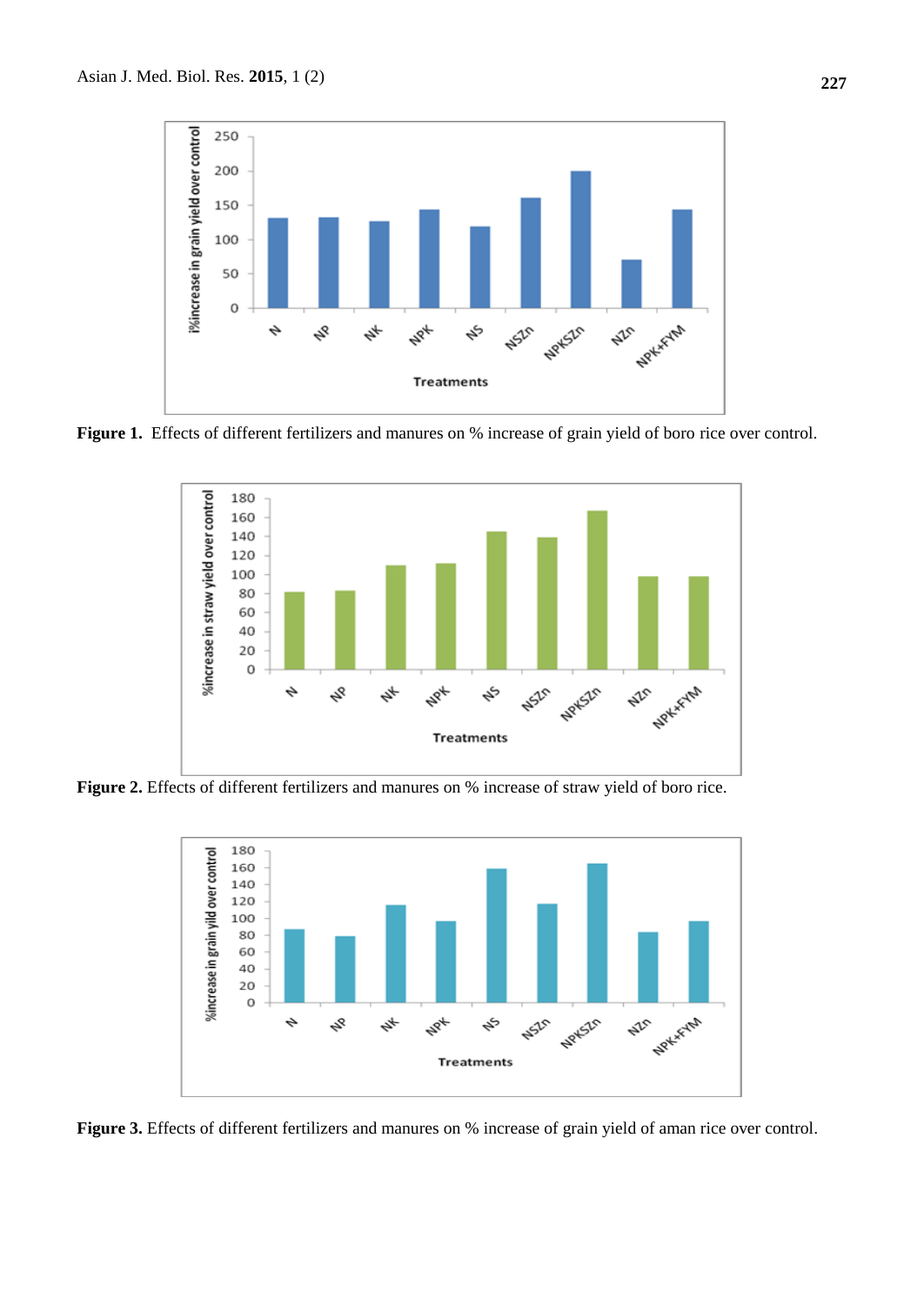

**Figure 1.** Effects of different fertilizers and manures on % increase of grain yield of boro rice over control.



**Figure 2.** Effects of different fertilizers and manures on % increase of straw yield of boro rice.



**Figure 3.** Effects of different fertilizers and manures on % increase of grain yield of aman rice over control.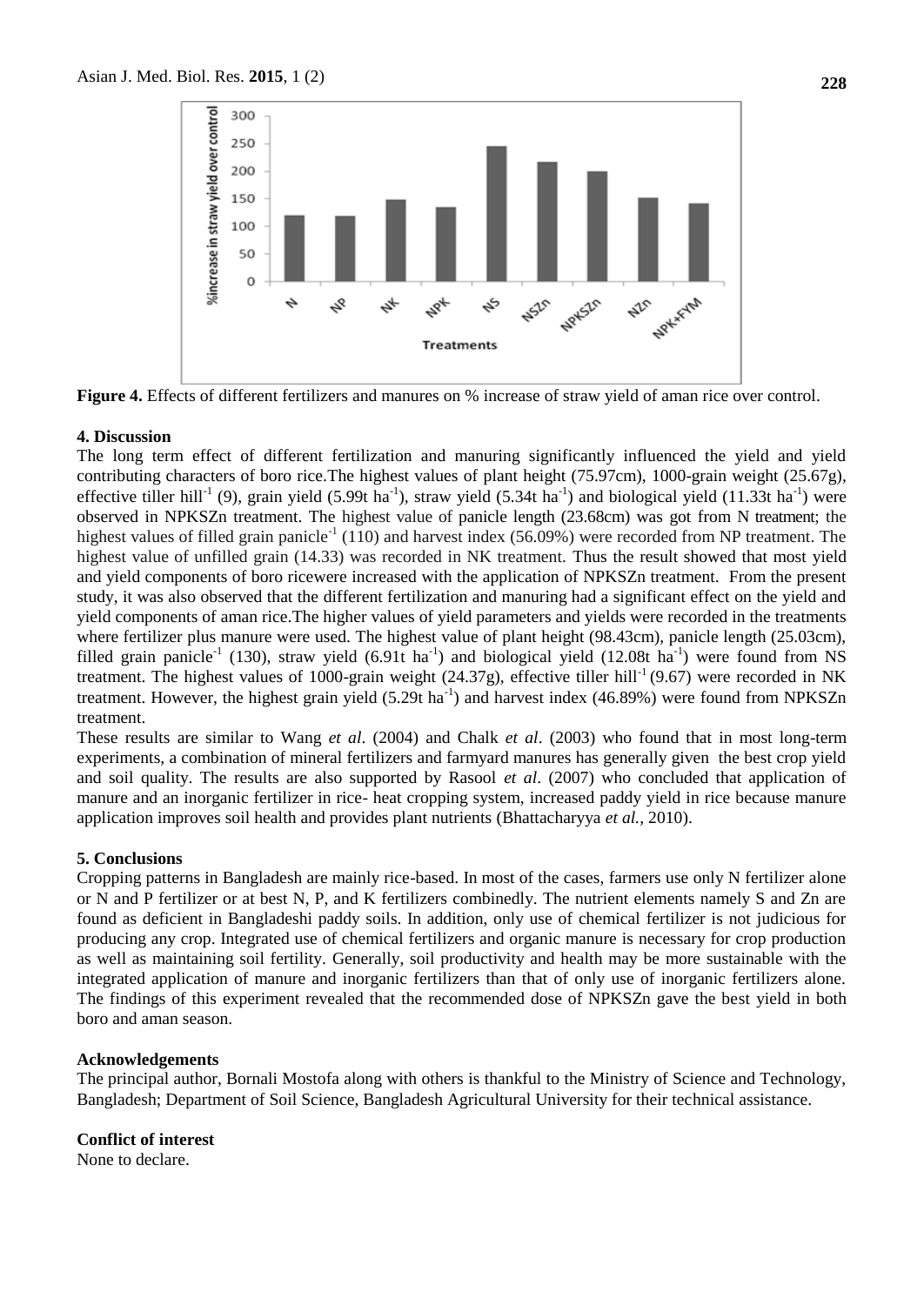

**Figure 4.** Effects of different fertilizers and manures on % increase of straw yield of aman rice over control.

## **4. Discussion**

The long term effect of different fertilization and manuring significantly influenced the yield and yield contributing characters of boro rice.The highest values of plant height (75.97cm), 1000-grain weight (25.67g), effective tiller hill<sup>-1</sup> (9), grain yield (5.99t ha<sup>-1</sup>), straw yield (5.34t ha<sup>-1</sup>) and biological yield (11.33t ha<sup>-1</sup>) were observed in NPKSZn treatment. The highest value of panicle length (23.68cm) was got from N treatment; the highest values of filled grain panicle<sup>-1</sup> (110) and harvest index (56.09%) were recorded from NP treatment. The highest value of unfilled grain (14.33) was recorded in NK treatment. Thus the result showed that most yield and yield components of boro ricewere increased with the application of NPKSZn treatment. From the present study, it was also observed that the different fertilization and manuring had a significant effect on the yield and yield components of aman rice.The higher values of yield parameters and yields were recorded in the treatments where fertilizer plus manure were used. The highest value of plant height (98.43cm), panicle length (25.03cm), filled grain panicle<sup>-1</sup> (130), straw yield (6.91t ha<sup>-1</sup>) and biological yield (12.08t ha<sup>-1</sup>) were found from NS treatment. The highest values of 1000-grain weight  $(24.37g)$ , effective tiller hill<sup>-1</sup> (9.67) were recorded in NK treatment. However, the highest grain yield (5.29t ha<sup>-1</sup>) and harvest index (46.89%) were found from NPKSZn treatment.

These results are similar to Wang *et al*. (2004) and Chalk *et al*. (2003) who found that in most long-term experiments, a combination of mineral fertilizers and farmyard manures has generally given the best crop yield and soil quality. The results are also supported by Rasool *et al*. (2007) who concluded that application of manure and an inorganic fertilizer in rice- heat cropping system, increased paddy yield in rice because manure application improves soil health and provides plant nutrients (Bhattacharyya *et al.,* 2010).

## **5. Conclusions**

Cropping patterns in Bangladesh are mainly rice-based. In most of the cases, farmers use only N fertilizer alone or N and P fertilizer or at best N, P, and K fertilizers combinedly. The nutrient elements namely S and Zn are found as deficient in Bangladeshi paddy soils. In addition, only use of chemical fertilizer is not judicious for producing any crop. Integrated use of chemical fertilizers and organic manure is necessary for crop production as well as maintaining soil fertility. Generally, soil productivity and health may be more sustainable with the integrated application of manure and inorganic fertilizers than that of only use of inorganic fertilizers alone. The findings of this experiment revealed that the recommended dose of NPKSZn gave the best yield in both boro and aman season.

#### **Acknowledgements**

The principal author, Bornali Mostofa along with others is thankful to the Ministry of Science and Technology, Bangladesh; Department of Soil Science, Bangladesh Agricultural University for their technical assistance.

**Conflict of interest** None to declare.